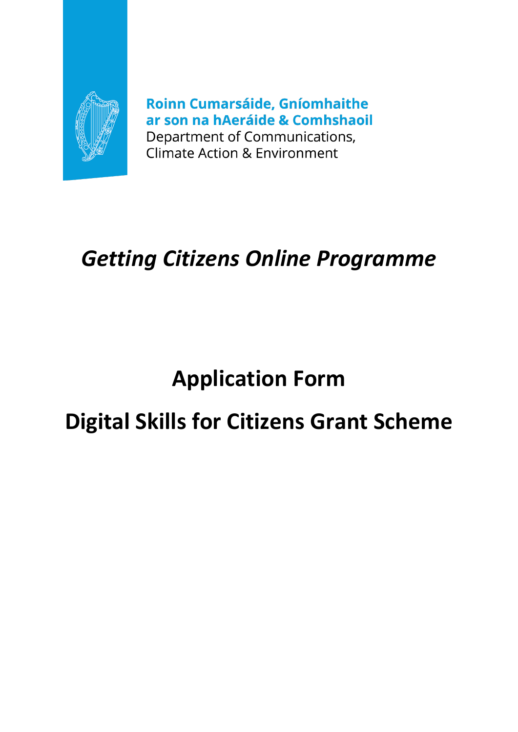

Roinn Cumarsáide, Gníomhaithe ar son na hAeráide & Comhshaoil Department of Communications, **Climate Action & Environment** 

# *Getting Citizens Online Programme*

# **Application Form**

# **Digital Skills for Citizens Grant Scheme**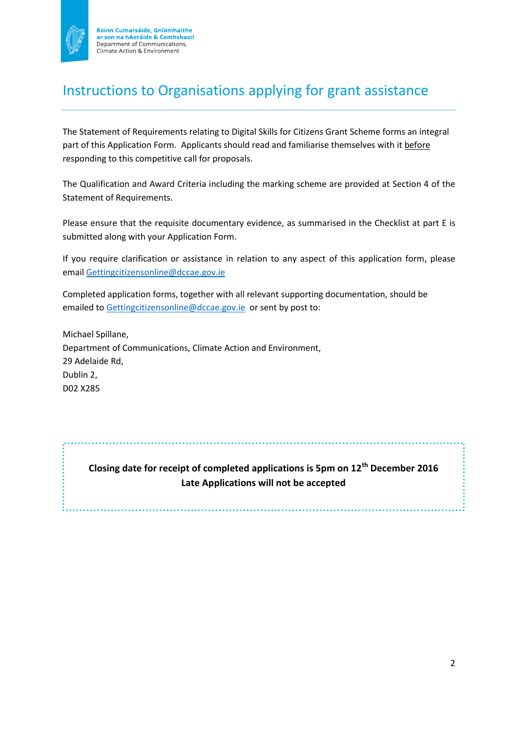

Roinn Cumarsáide, Gníomhaithe<br>ar son na hAeráide & Comhshaoil Department of Communications, Climate Action & Environment

## Instructions to Organisations applying for grant assistance

The Statement of Requirements relating to Digital Skills for Citizens Grant Scheme forms an integral part of this Application Form. Applicants should read and familiarise themselves with it before responding to this competitive call for proposals.

The Qualification and Award Criteria including the marking scheme are provided at Section 4 of the Statement of Requirements.

Please ensure that the requisite documentary evidence, as summarised in the Checklist at part E is submitted along with your Application Form.

If you require clarification or assistance in relation to any aspect of this application form, please email [Gettingcitizensonline@dccae.gov.ie](mailto:Gettingcitizensonline@dccae.gov.ie)

Completed application forms, together with all relevant supporting documentation, should be emailed to [Gettingcitizensonline@dccae.gov.ie](mailto:Gettingcitizensonline@dccae.gov.ie) or sent by post to:

Michael Spillane, Department of Communications, Climate Action and Environment, 29 Adelaide Rd, Dublin 2, D02 X285

> **Closing date for receipt of completed applications is 5pm on 12th December 2016 Late Applications will not be accepted**

> > .......................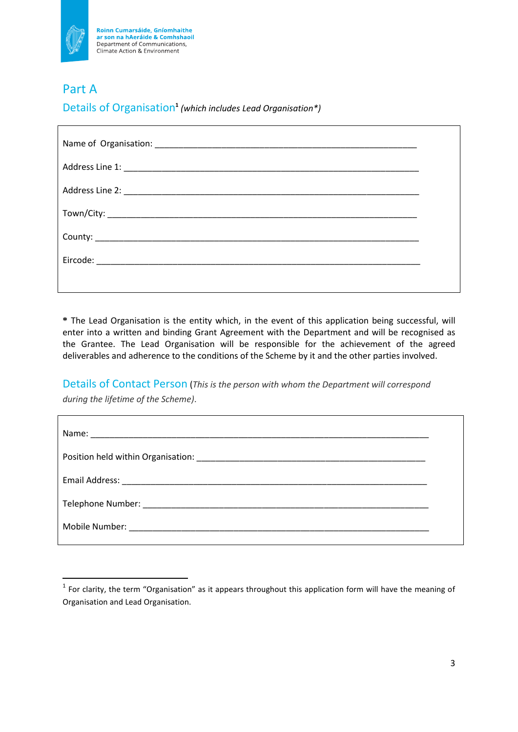

Roinn Cumarsáide, Gníomhaithe<br>ar son na hAeráide & Comhshaoil Department of Communications, Climate Action & Environment

### Part A

1

Details of Organisation**<sup>1</sup>** *(which includes Lead Organisation\*)*

**\*** The Lead Organisation is the entity which, in the event of this application being successful, will enter into a written and binding Grant Agreement with the Department and will be recognised as the Grantee. The Lead Organisation will be responsible for the achievement of the agreed deliverables and adherence to the conditions of the Scheme by it and the other parties involved.

Details of Contact Person (*This is the person with whom the Department will correspond during the lifetime of the Scheme)*.

| Email Address: National Address: National Address: National Address: National Address: National Address: National Address: National Address: National Address: National Address: National Address: National Address: National |  |
|-------------------------------------------------------------------------------------------------------------------------------------------------------------------------------------------------------------------------------|--|
|                                                                                                                                                                                                                               |  |
|                                                                                                                                                                                                                               |  |

 $<sup>1</sup>$  For clarity, the term "Organisation" as it appears throughout this application form will have the meaning of</sup> Organisation and Lead Organisation.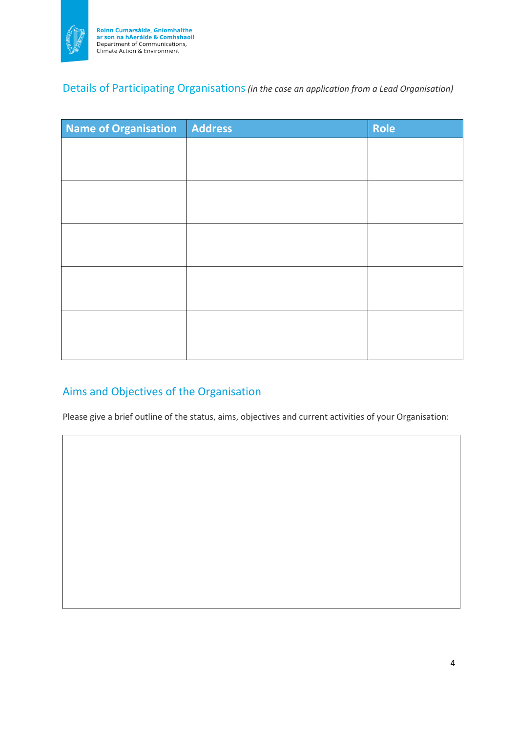

### Details of Participating Organisations*(in the case an application from a Lead Organisation)*

| <b>Name of Organisation</b> | Address | Role |
|-----------------------------|---------|------|
|                             |         |      |
|                             |         |      |
|                             |         |      |
|                             |         |      |
|                             |         |      |
|                             |         |      |
|                             |         |      |
|                             |         |      |
|                             |         |      |
|                             |         |      |
|                             |         |      |

## Aims and Objectives of the Organisation

Please give a brief outline of the status, aims, objectives and current activities of your Organisation: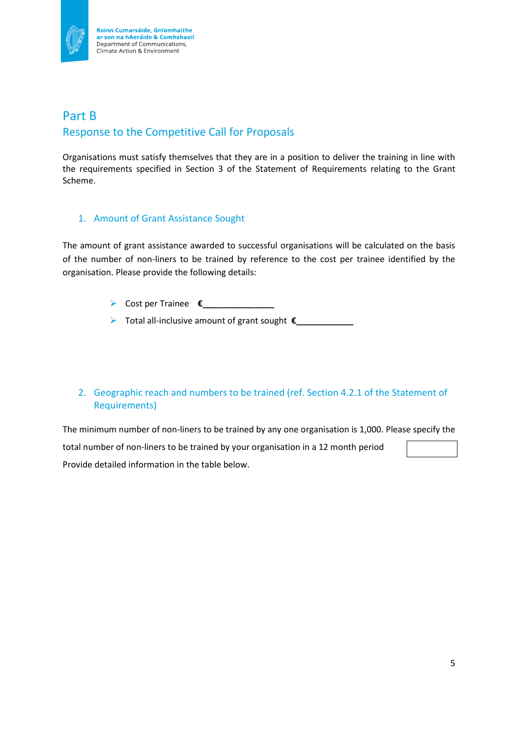

### Part B Response to the Competitive Call for Proposals

Organisations must satisfy themselves that they are in a position to deliver the training in line with the requirements specified in Section 3 of the Statement of Requirements relating to the Grant Scheme.

#### 1. Amount of Grant Assistance Sought

The amount of grant assistance awarded to successful organisations will be calculated on the basis of the number of non-liners to be trained by reference to the cost per trainee identified by the organisation. Please provide the following details:

- Cost per Trainee **€\_\_\_\_\_\_\_\_\_\_\_\_\_\_\_**
- Total all-inclusive amount of grant sought **€\_\_\_\_\_\_\_\_\_\_\_\_**

#### 2. Geographic reach and numbers to be trained (ref. Section 4.2.1 of the Statement of Requirements)

The minimum number of non-liners to be trained by any one organisation is 1,000. Please specify the total number of non-liners to be trained by your organisation in a 12 month period Provide detailed information in the table below.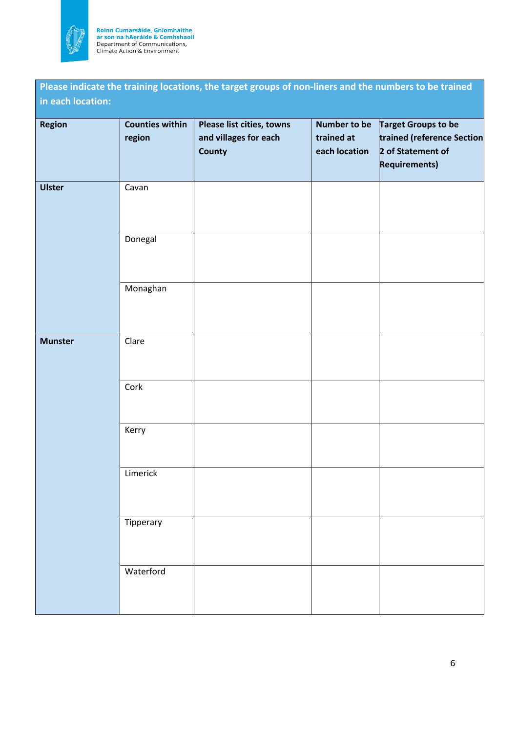

Roinn Cumarsáide, Gníomhaithe<br>ar son na hAeráide & Comhshaoil<br>Department of Communications,<br>Climate Action & Environment

**Please indicate the training locations, the target groups of non-liners and the numbers to be trained in each location:**

| Region         | <b>Counties within</b><br>region | Please list cities, towns<br>and villages for each<br>County | trained at<br>each location | Number to be $\int$ Target Groups to be<br>trained (reference Section<br>2 of Statement of<br><b>Requirements)</b> |
|----------------|----------------------------------|--------------------------------------------------------------|-----------------------------|--------------------------------------------------------------------------------------------------------------------|
| <b>Ulster</b>  | Cavan                            |                                                              |                             |                                                                                                                    |
|                | Donegal                          |                                                              |                             |                                                                                                                    |
|                | Monaghan                         |                                                              |                             |                                                                                                                    |
| <b>Munster</b> | Clare                            |                                                              |                             |                                                                                                                    |
|                | Cork                             |                                                              |                             |                                                                                                                    |
|                | Kerry                            |                                                              |                             |                                                                                                                    |
|                | Limerick                         |                                                              |                             |                                                                                                                    |
|                | Tipperary                        |                                                              |                             |                                                                                                                    |
|                | Waterford                        |                                                              |                             |                                                                                                                    |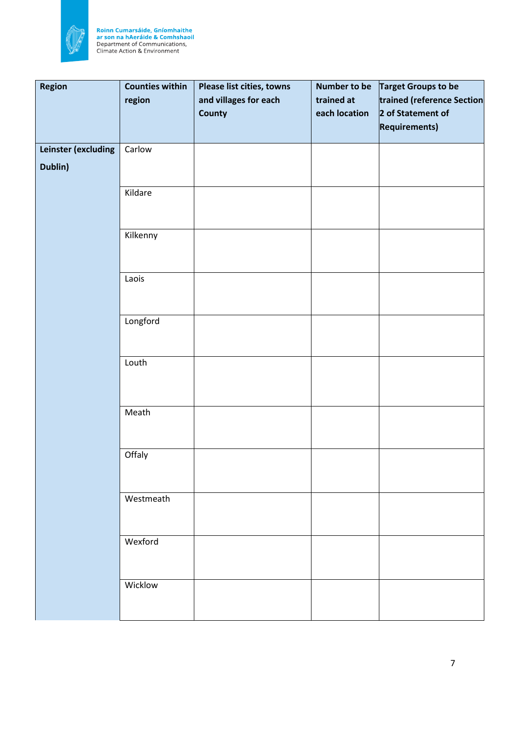

Roinn Cumarsáide, Gníomhaithe<br>ar son na hAeráide & Comhshaoil<br>Department of Communications,<br>Climate Action & Environment

| <b>Region</b>       | <b>Counties within</b> | Please list cities, towns | <b>Number to be</b> | Target Groups to be        |
|---------------------|------------------------|---------------------------|---------------------|----------------------------|
|                     | region                 | and villages for each     | trained at          | trained (reference Section |
|                     |                        | <b>County</b>             | each location       | 2 of Statement of          |
|                     |                        |                           |                     | <b>Requirements)</b>       |
| Leinster (excluding | Carlow                 |                           |                     |                            |
|                     |                        |                           |                     |                            |
| Dublin)             |                        |                           |                     |                            |
|                     | Kildare                |                           |                     |                            |
|                     |                        |                           |                     |                            |
|                     |                        |                           |                     |                            |
|                     | Kilkenny               |                           |                     |                            |
|                     |                        |                           |                     |                            |
|                     |                        |                           |                     |                            |
|                     | Laois                  |                           |                     |                            |
|                     |                        |                           |                     |                            |
|                     |                        |                           |                     |                            |
|                     | Longford               |                           |                     |                            |
|                     |                        |                           |                     |                            |
|                     |                        |                           |                     |                            |
|                     | Louth                  |                           |                     |                            |
|                     |                        |                           |                     |                            |
|                     |                        |                           |                     |                            |
|                     | Meath                  |                           |                     |                            |
|                     |                        |                           |                     |                            |
|                     |                        |                           |                     |                            |
|                     | Offaly                 |                           |                     |                            |
|                     |                        |                           |                     |                            |
|                     |                        |                           |                     |                            |
|                     | Westmeath              |                           |                     |                            |
|                     |                        |                           |                     |                            |
|                     |                        |                           |                     |                            |
|                     | Wexford                |                           |                     |                            |
|                     |                        |                           |                     |                            |
|                     |                        |                           |                     |                            |
|                     | Wicklow                |                           |                     |                            |
|                     |                        |                           |                     |                            |
|                     |                        |                           |                     |                            |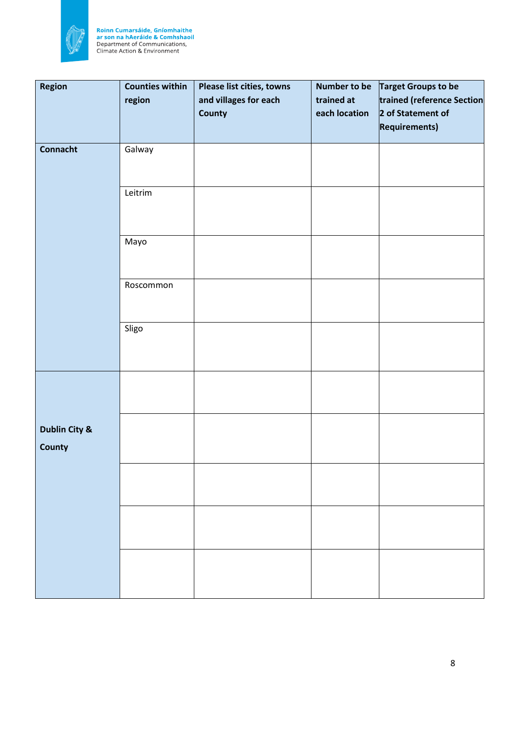

Roinn Cumarsáide, Gníomhaithe<br>ar son na hAeráide & Comhshaoil<br>Department of Communications,<br>Climate Action & Environment

| Region                         | <b>Counties within</b><br>region | Please list cities, towns<br>and villages for each<br><b>County</b> | <b>Number to be</b><br>trained at<br>each location | Target Groups to be<br>trained (reference Section<br>2 of Statement of<br><b>Requirements)</b> |
|--------------------------------|----------------------------------|---------------------------------------------------------------------|----------------------------------------------------|------------------------------------------------------------------------------------------------|
|                                |                                  |                                                                     |                                                    |                                                                                                |
| <b>Connacht</b>                | Galway                           |                                                                     |                                                    |                                                                                                |
|                                | Leitrim                          |                                                                     |                                                    |                                                                                                |
|                                | Mayo                             |                                                                     |                                                    |                                                                                                |
|                                | Roscommon                        |                                                                     |                                                    |                                                                                                |
|                                | Sligo                            |                                                                     |                                                    |                                                                                                |
|                                |                                  |                                                                     |                                                    |                                                                                                |
| Dublin City &<br><b>County</b> |                                  |                                                                     |                                                    |                                                                                                |
|                                |                                  |                                                                     |                                                    |                                                                                                |
|                                |                                  |                                                                     |                                                    |                                                                                                |
|                                |                                  |                                                                     |                                                    |                                                                                                |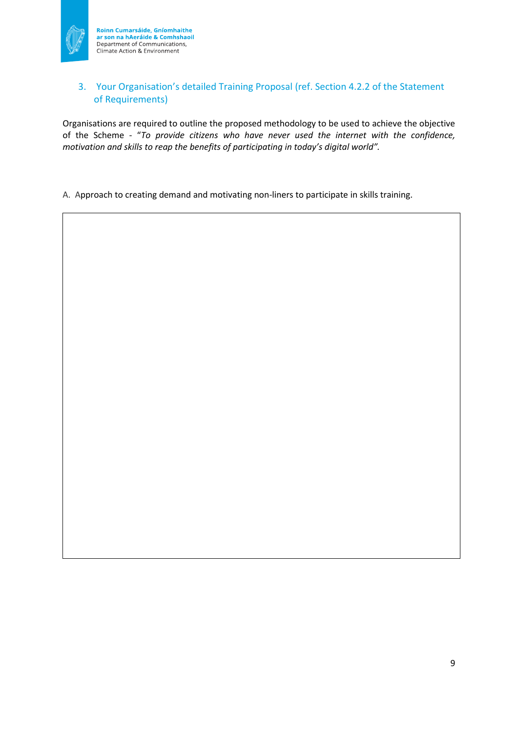

#### 3. Your Organisation's detailed Training Proposal (ref. Section 4.2.2 of the Statement of Requirements)

Organisations are required to outline the proposed methodology to be used to achieve the objective of the Scheme - "*To provide citizens who have never used the internet with the confidence, motivation and skills to reap the benefits of participating in today's digital world".*

A. Approach to creating demand and motivating non-liners to participate in skills training.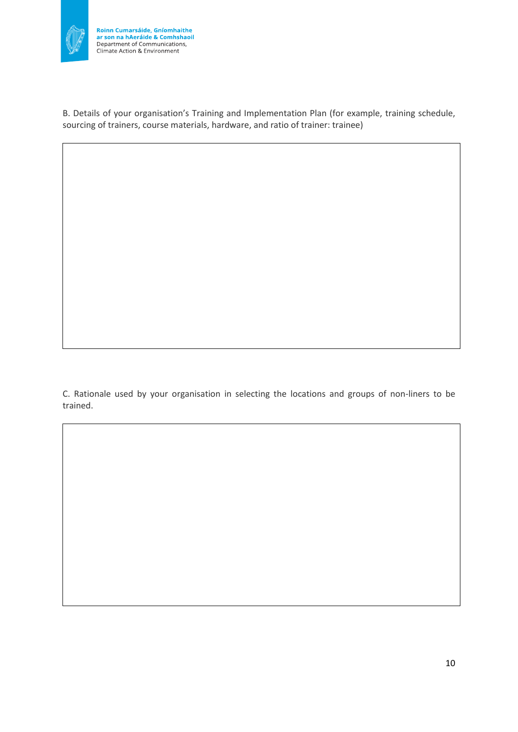

B. Details of your organisation's Training and Implementation Plan (for example, training schedule, sourcing of trainers, course materials, hardware, and ratio of trainer: trainee)

C. Rationale used by your organisation in selecting the locations and groups of non-liners to be trained.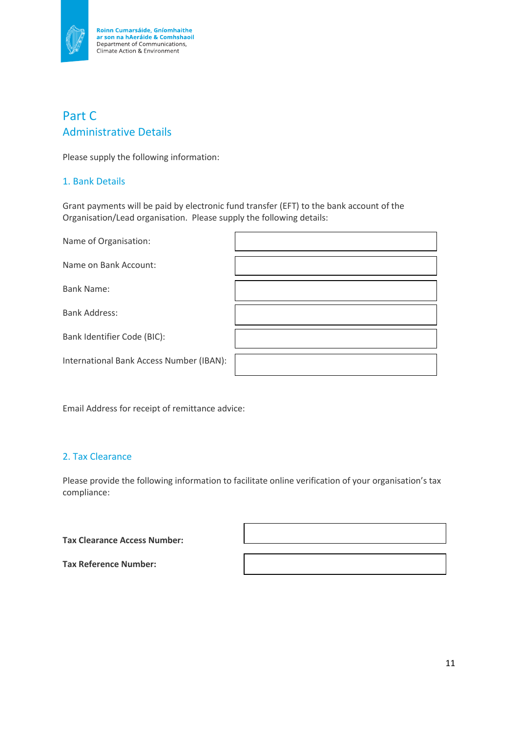

## Part C Administrative Details

Please supply the following information:

#### 1. Bank Details

Grant payments will be paid by electronic fund transfer (EFT) to the bank account of the Organisation/Lead organisation. Please supply the following details:

| Name of Organisation:                    |  |
|------------------------------------------|--|
| Name on Bank Account:                    |  |
| <b>Bank Name:</b>                        |  |
| <b>Bank Address:</b>                     |  |
| Bank Identifier Code (BIC):              |  |
| International Bank Access Number (IBAN): |  |

Email Address for receipt of remittance advice:

#### 2. Tax Clearance

Please provide the following information to facilitate online verification of your organisation's tax compliance:

**Tax Clearance Access Number:**

**Tax Reference Number:**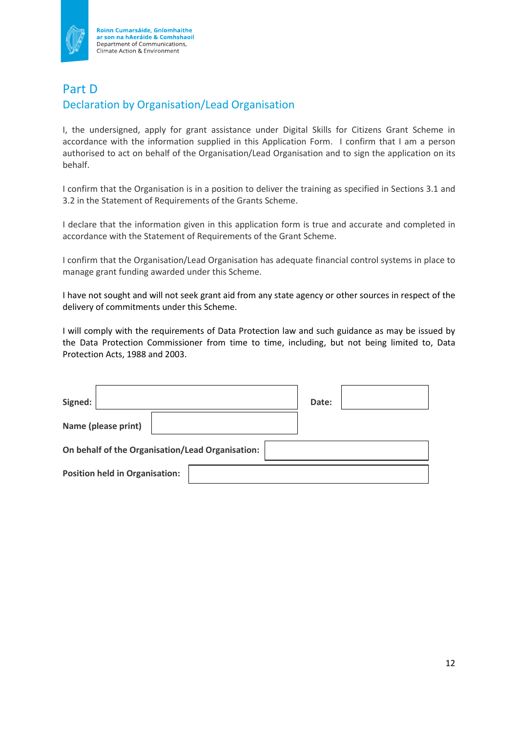

Roinn Cumarsáide, Gníomhaithe<br>ar son na hAeráide & Comhshaoil Department of Communications, Climate Action & Environment

## Part D Declaration by Organisation/Lead Organisation

I, the undersigned, apply for grant assistance under Digital Skills for Citizens Grant Scheme in accordance with the information supplied in this Application Form. I confirm that I am a person authorised to act on behalf of the Organisation/Lead Organisation and to sign the application on its behalf.

I confirm that the Organisation is in a position to deliver the training as specified in Sections 3.1 and 3.2 in the Statement of Requirements of the Grants Scheme.

I declare that the information given in this application form is true and accurate and completed in accordance with the Statement of Requirements of the Grant Scheme.

I confirm that the Organisation/Lead Organisation has adequate financial control systems in place to manage grant funding awarded under this Scheme.

I have not sought and will not seek grant aid from any state agency or other sources in respect of the delivery of commitments under this Scheme.

I will comply with the requirements of Data Protection law and such guidance as may be issued by the Data Protection Commissioner from time to time, including, but not being limited to, Data Protection Acts, 1988 and 2003.

| Signed:                                          | Date: |  |
|--------------------------------------------------|-------|--|
| Name (please print)                              |       |  |
| On behalf of the Organisation/Lead Organisation: |       |  |
| <b>Position held in Organisation:</b>            |       |  |